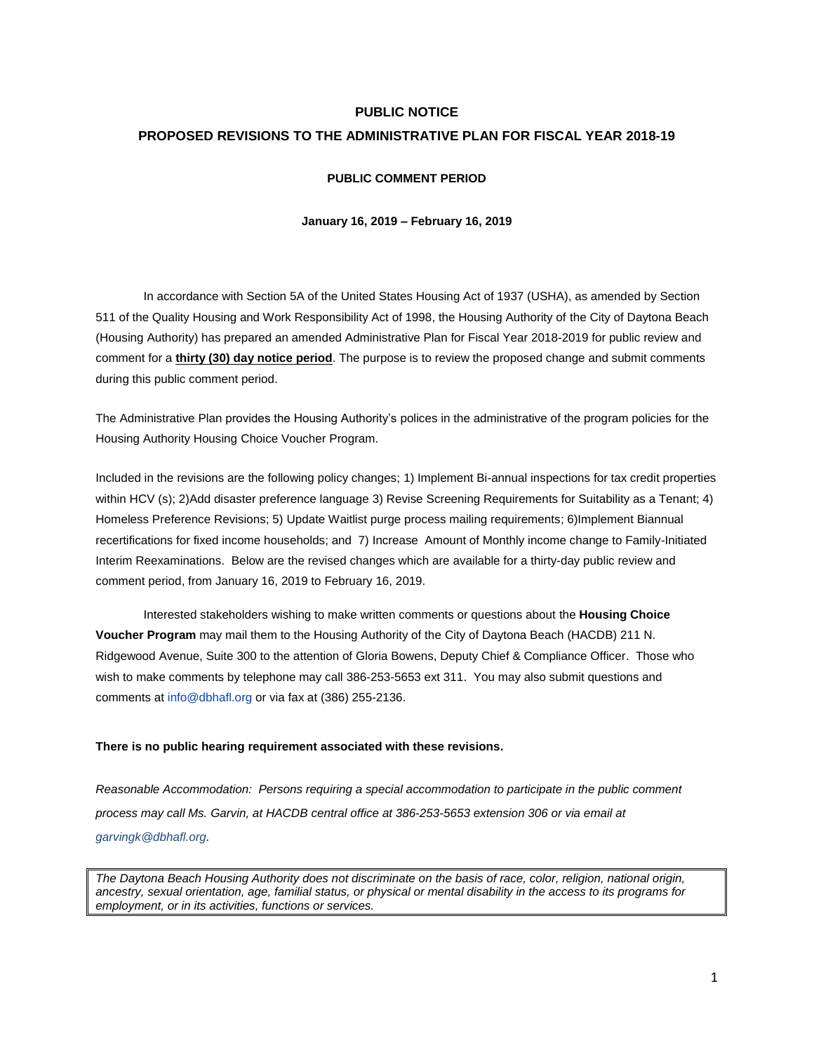#### **PUBLIC NOTICE**

#### **PROPOSED REVISIONS TO THE ADMINISTRATIVE PLAN FOR FISCAL YEAR 2018-19**

#### **PUBLIC COMMENT PERIOD**

#### **January 16, 2019 – February 16, 2019**

In accordance with Section 5A of the United States Housing Act of 1937 (USHA), as amended by Section 511 of the Quality Housing and Work Responsibility Act of 1998, the Housing Authority of the City of Daytona Beach (Housing Authority) has prepared an amended Administrative Plan for Fiscal Year 2018-2019 for public review and comment for a **thirty (30) day notice period**. The purpose is to review the proposed change and submit comments during this public comment period.

The Administrative Plan provides the Housing Authority's polices in the administrative of the program policies for the Housing Authority Housing Choice Voucher Program.

Included in the revisions are the following policy changes; 1) Implement Bi-annual inspections for tax credit properties within HCV (s); 2)Add disaster preference language 3) Revise Screening Requirements for Suitability as a Tenant; 4) Homeless Preference Revisions; 5) Update Waitlist purge process mailing requirements; 6)Implement Biannual recertifications for fixed income households; and 7) Increase Amount of Monthly income change to Family-Initiated Interim Reexaminations. Below are the revised changes which are available for a thirty-day public review and comment period, from January 16, 2019 to February 16, 2019.

Interested stakeholders wishing to make written comments or questions about the **Housing Choice Voucher Program** may mail them to the Housing Authority of the City of Daytona Beach (HACDB) 211 N. Ridgewood Avenue, Suite 300 to the attention of Gloria Bowens, Deputy Chief & Compliance Officer. Those who wish to make comments by telephone may call 386-253-5653 ext 311. You may also submit questions and comments at [info@dbhafl.org](mailto:info@dbhafl.org) or via fax at (386) 255-2136.

#### **There is no public hearing requirement associated with these revisions.**

*Reasonable Accommodation: Persons requiring a special accommodation to participate in the public comment process may call Ms. Garvin, at HACDB central office at 386-253-5653 extension 306 or via email at garvingk@dbhafl.org.* 

*The Daytona Beach Housing Authority does not discriminate on the basis of race, color, religion, national origin, ancestry, sexual orientation, age, familial status, or physical or mental disability in the access to its programs for employment, or in its activities, functions or services.*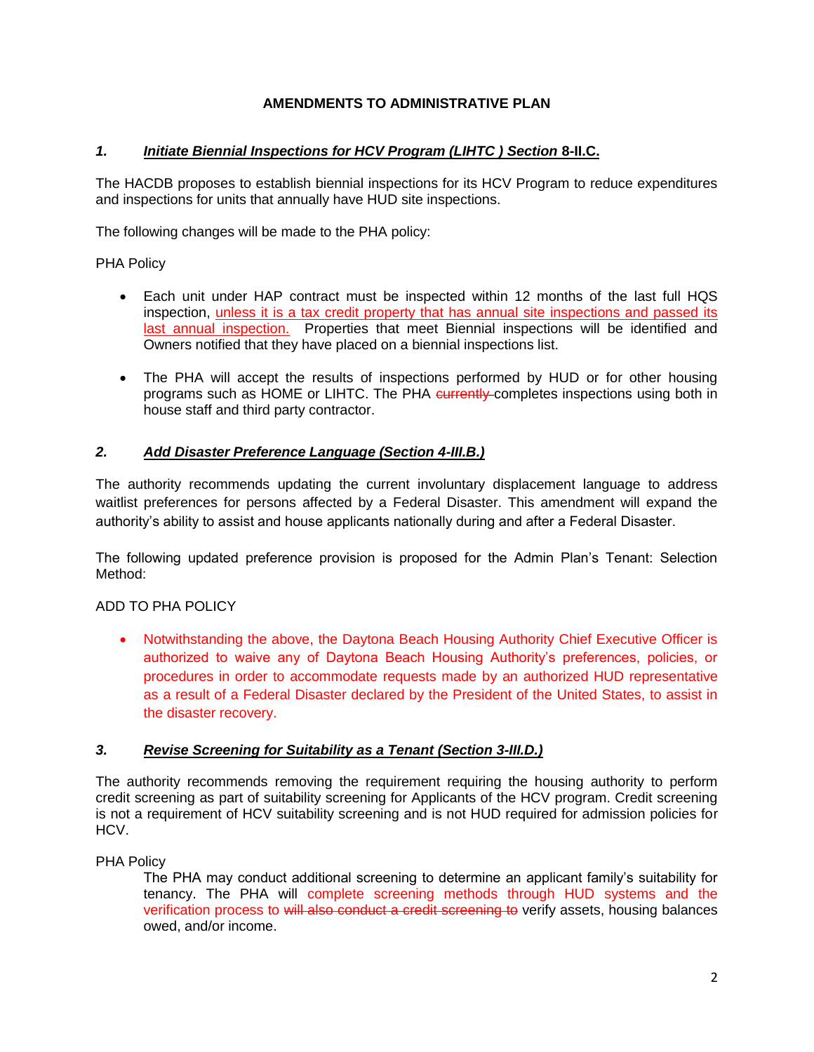# **AMENDMENTS TO ADMINISTRATIVE PLAN**

## **1. Initiate Biennial Inspections for HCV Program (LIHTC) Section 8-II.C.**

The HACDB proposes to establish biennial inspections for its HCV Program to reduce expenditures and inspections for units that annually have HUD site inspections.

The following changes will be made to the PHA policy:

PHA Policy

- Each unit under HAP contract must be inspected within 12 months of the last full HQS inspection, unless it is a tax credit property that has annual site inspections and passed its last annual inspection. Properties that meet Biennial inspections will be identified and Owners notified that they have placed on a biennial inspections list.
- The PHA will accept the results of inspections performed by HUD or for other housing programs such as HOME or LIHTC. The PHA currently-completes inspections using both in house staff and third party contractor.

# *2. Add Disaster Preference Language (Section 4-III.B.)*

The authority recommends updating the current involuntary displacement language to address waitlist preferences for persons affected by a Federal Disaster. This amendment will expand the authority's ability to assist and house applicants nationally during and after a Federal Disaster.

The following updated preference provision is proposed for the Admin Plan's Tenant: Selection Method:

# ADD TO PHA POLICY

• Notwithstanding the above, the Daytona Beach Housing Authority Chief Executive Officer is authorized to waive any of Daytona Beach Housing Authority's preferences, policies, or procedures in order to accommodate requests made by an authorized HUD representative as a result of a Federal Disaster declared by the President of the United States, to assist in the disaster recovery.

# *3. Revise Screening for Suitability as a Tenant (Section 3-III.D.)*

The authority recommends removing the requirement requiring the housing authority to perform credit screening as part of suitability screening for Applicants of the HCV program. Credit screening is not a requirement of HCV suitability screening and is not HUD required for admission policies for HCV.

PHA Policy

The PHA may conduct additional screening to determine an applicant family's suitability for tenancy. The PHA will complete screening methods through HUD systems and the verification process to will also conduct a credit screening to verify assets, housing balances owed, and/or income.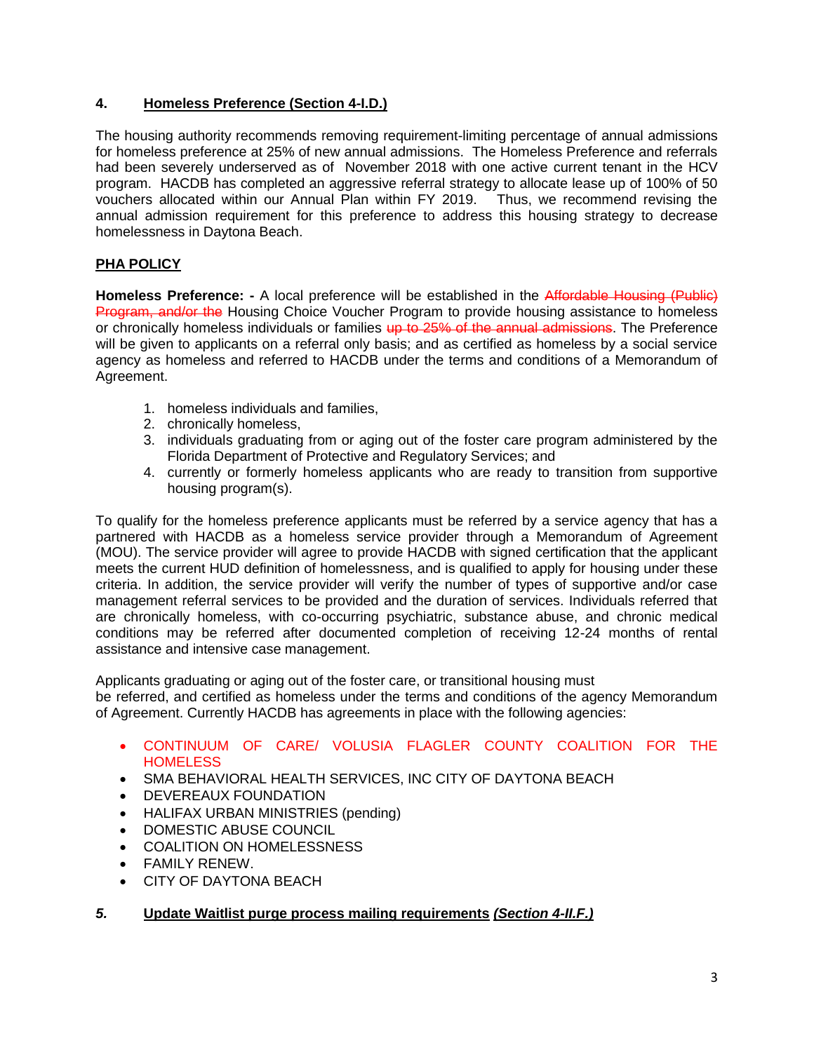## **4. Homeless Preference (Section 4-I.D.)**

The housing authority recommends removing requirement-limiting percentage of annual admissions for homeless preference at 25% of new annual admissions. The Homeless Preference and referrals had been severely underserved as of November 2018 with one active current tenant in the HCV program. HACDB has completed an aggressive referral strategy to allocate lease up of 100% of 50 vouchers allocated within our Annual Plan within FY 2019. Thus, we recommend revising the annual admission requirement for this preference to address this housing strategy to decrease homelessness in Daytona Beach.

# **PHA POLICY**

**Homeless Preference:** - A local preference will be established in the Affordable Housing (Public) **Program, and/or the Housing Choice Voucher Program to provide housing assistance to homeless** or chronically homeless individuals or families up to 25% of the annual admissions. The Preference will be given to applicants on a referral only basis; and as certified as homeless by a social service agency as homeless and referred to HACDB under the terms and conditions of a Memorandum of Agreement.

- 1. homeless individuals and families,
- 2. chronically homeless,
- 3. individuals graduating from or aging out of the foster care program administered by the Florida Department of Protective and Regulatory Services; and
- 4. currently or formerly homeless applicants who are ready to transition from supportive housing program(s).

To qualify for the homeless preference applicants must be referred by a service agency that has a partnered with HACDB as a homeless service provider through a Memorandum of Agreement (MOU). The service provider will agree to provide HACDB with signed certification that the applicant meets the current HUD definition of homelessness, and is qualified to apply for housing under these criteria. In addition, the service provider will verify the number of types of supportive and/or case management referral services to be provided and the duration of services. Individuals referred that are chronically homeless, with co-occurring psychiatric, substance abuse, and chronic medical conditions may be referred after documented completion of receiving 12-24 months of rental assistance and intensive case management.

Applicants graduating or aging out of the foster care, or transitional housing must

be referred, and certified as homeless under the terms and conditions of the agency Memorandum of Agreement. Currently HACDB has agreements in place with the following agencies:

- CONTINUUM OF CARE/ VOLUSIA FLAGLER COUNTY COALITION FOR THE **HOMELESS**
- SMA BEHAVIORAL HEALTH SERVICES, INC CITY OF DAYTONA BEACH
- DEVEREAUX FOUNDATION
- HALIFAX URBAN MINISTRIES (pending)
- DOMESTIC ABUSE COUNCIL
- COALITION ON HOMELESSNESS
- FAMILY RENEW.
- CITY OF DAYTONA BEACH

# *5.* **Update Waitlist purge process mailing requirements** *(Section 4-II.F.)*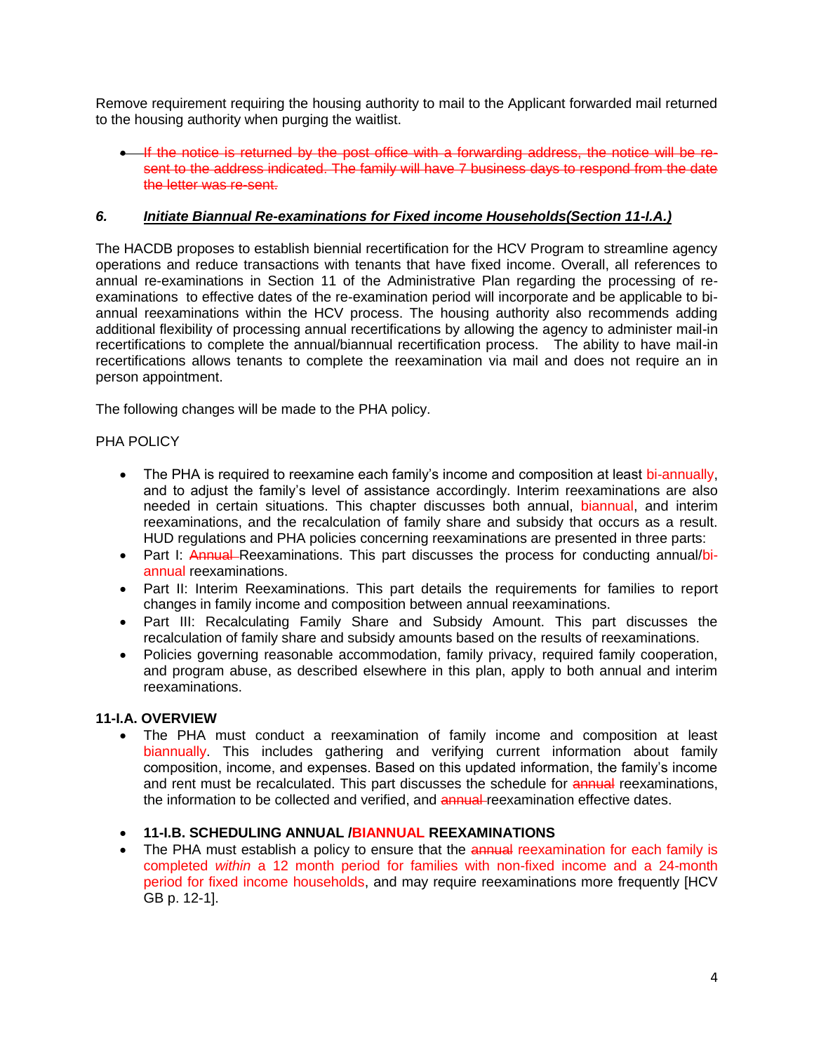Remove requirement requiring the housing authority to mail to the Applicant forwarded mail returned to the housing authority when purging the waitlist.

• If the notice is returned by the post office with a forwarding address, the notice will be resent to the address indicated. The family will have 7 business days to respond from the date the letter was re-sent.

## *6. Initiate Biannual Re-examinations for Fixed income Households(Section 11-I.A.)*

The HACDB proposes to establish biennial recertification for the HCV Program to streamline agency operations and reduce transactions with tenants that have fixed income. Overall, all references to annual re-examinations in Section 11 of the Administrative Plan regarding the processing of reexaminations to effective dates of the re-examination period will incorporate and be applicable to biannual reexaminations within the HCV process. The housing authority also recommends adding additional flexibility of processing annual recertifications by allowing the agency to administer mail-in recertifications to complete the annual/biannual recertification process. The ability to have mail-in recertifications allows tenants to complete the reexamination via mail and does not require an in person appointment.

The following changes will be made to the PHA policy.

## PHA POLICY

- The PHA is required to reexamine each family's income and composition at least bi-annually, and to adjust the family's level of assistance accordingly. Interim reexaminations are also needed in certain situations. This chapter discusses both annual, biannual, and interim reexaminations, and the recalculation of family share and subsidy that occurs as a result. HUD regulations and PHA policies concerning reexaminations are presented in three parts:
- Part I: Annual-Reexaminations. This part discusses the process for conducting annual/biannual reexaminations.
- Part II: Interim Reexaminations. This part details the requirements for families to report changes in family income and composition between annual reexaminations.
- Part III: Recalculating Family Share and Subsidy Amount. This part discusses the recalculation of family share and subsidy amounts based on the results of reexaminations.
- Policies governing reasonable accommodation, family privacy, required family cooperation, and program abuse, as described elsewhere in this plan, apply to both annual and interim reexaminations.

### **11-I.A. OVERVIEW**

 The PHA must conduct a reexamination of family income and composition at least biannually. This includes gathering and verifying current information about family composition, income, and expenses. Based on this updated information, the family's income and rent must be recalculated. This part discusses the schedule for **annual** reexaminations, the information to be collected and verified, and **annual**-reexamination effective dates.

## **11-I.B. SCHEDULING ANNUAL /BIANNUAL REEXAMINATIONS**

• The PHA must establish a policy to ensure that the annual reexamination for each family is completed *within* a 12 month period for families with non-fixed income and a 24-month period for fixed income households, and may require reexaminations more frequently [HCV GB p. 12-1].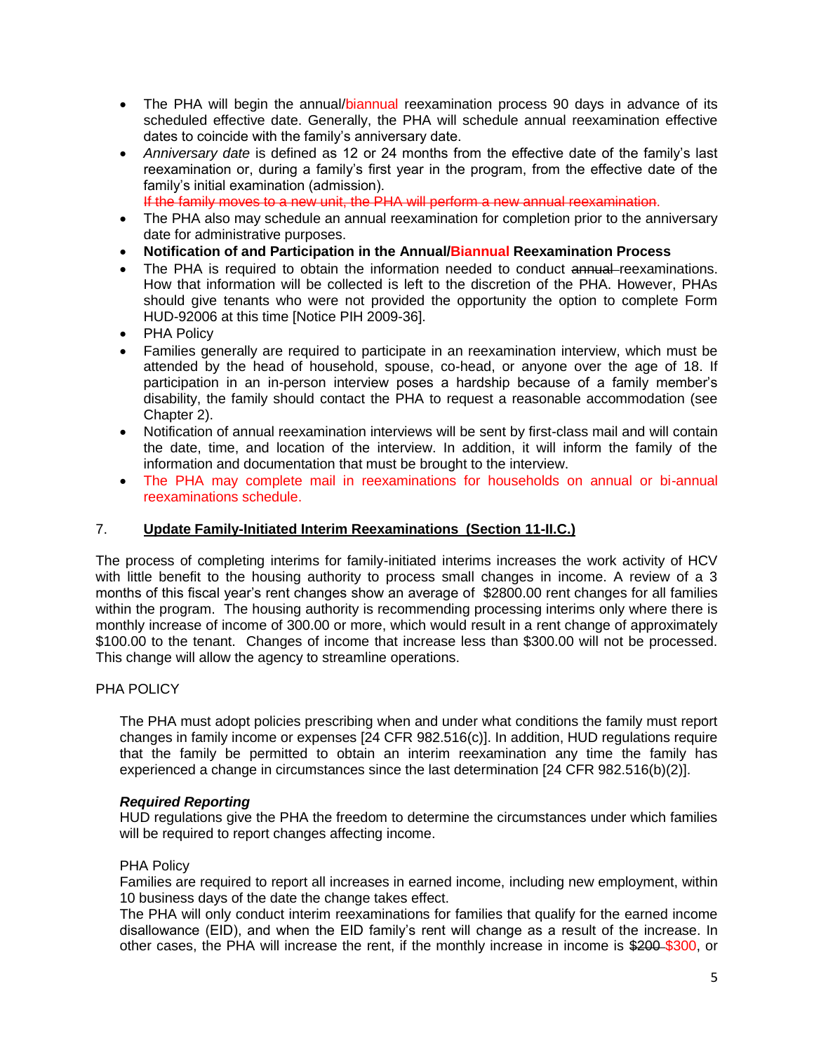- The PHA will begin the annual/biannual reexamination process 90 days in advance of its scheduled effective date. Generally, the PHA will schedule annual reexamination effective dates to coincide with the family's anniversary date.
- *Anniversary date* is defined as 12 or 24 months from the effective date of the family's last reexamination or, during a family's first year in the program, from the effective date of the family's initial examination (admission).

If the family moves to a new unit, the PHA will perform a new annual reexamination.

- The PHA also may schedule an annual reexamination for completion prior to the anniversary date for administrative purposes.
- **Notification of and Participation in the Annual/Biannual Reexamination Process**
- The PHA is required to obtain the information needed to conduct annual reexaminations. How that information will be collected is left to the discretion of the PHA. However, PHAs should give tenants who were not provided the opportunity the option to complete Form HUD-92006 at this time [Notice PIH 2009-36].
- PHA Policy
- Families generally are required to participate in an reexamination interview, which must be attended by the head of household, spouse, co-head, or anyone over the age of 18. If participation in an in-person interview poses a hardship because of a family member's disability, the family should contact the PHA to request a reasonable accommodation (see Chapter 2).
- Notification of annual reexamination interviews will be sent by first-class mail and will contain the date, time, and location of the interview. In addition, it will inform the family of the information and documentation that must be brought to the interview.
- The PHA may complete mail in reexaminations for households on annual or bi-annual reexaminations schedule.

### 7. **Update Family-Initiated Interim Reexaminations (Section 11-II.C.)**

The process of completing interims for family-initiated interims increases the work activity of HCV with little benefit to the housing authority to process small changes in income. A review of a 3 months of this fiscal year's rent changes show an average of \$2800.00 rent changes for all families within the program. The housing authority is recommending processing interims only where there is monthly increase of income of 300.00 or more, which would result in a rent change of approximately \$100.00 to the tenant. Changes of income that increase less than \$300.00 will not be processed. This change will allow the agency to streamline operations.

### PHA POLICY

The PHA must adopt policies prescribing when and under what conditions the family must report changes in family income or expenses [24 CFR 982.516(c)]. In addition, HUD regulations require that the family be permitted to obtain an interim reexamination any time the family has experienced a change in circumstances since the last determination [24 CFR 982.516(b)(2)].

### *Required Reporting*

HUD regulations give the PHA the freedom to determine the circumstances under which families will be required to report changes affecting income.

### PHA Policy

Families are required to report all increases in earned income, including new employment, within 10 business days of the date the change takes effect.

The PHA will only conduct interim reexaminations for families that qualify for the earned income disallowance (EID), and when the EID family's rent will change as a result of the increase. In other cases, the PHA will increase the rent, if the monthly increase in income is \$200-\$300, or